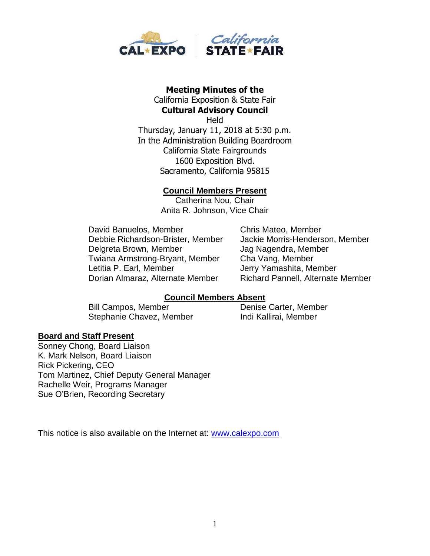

#### **Meeting Minutes of the**  California Exposition & State Fair **Cultural Advisory Council**

**Held** Thursday, January 11, 2018 at 5:30 p.m. In the Administration Building Boardroom California State Fairgrounds 1600 Exposition Blvd. Sacramento, California 95815

#### **Council Members Present**

Catherina Nou, Chair Anita R. Johnson, Vice Chair

David Banuelos, Member Chris Mateo, Member Debbie Richardson-Brister, Member Jackie Morris-Henderson, Member Delgreta Brown, Member Jag Nagendra, Member Twiana Armstrong-Bryant, Member Cha Vang, Member Letitia P. Earl, Member **Jerry Yamashita, Member** Dorian Almaraz, Alternate Member Richard Pannell, Alternate Member

#### **Council Members Absent**

Bill Campos, Member Denise Carter, Member Stephanie Chavez, Member Indi Kallirai, Member

#### **Board and Staff Present**

Sonney Chong, Board Liaison K. Mark Nelson, Board Liaison Rick Pickering, CEO Tom Martinez, Chief Deputy General Manager Rachelle Weir, Programs Manager Sue O'Brien, Recording Secretary

This notice is also available on the Internet at: [www.calexpo.com](http://www.calexpo.com/)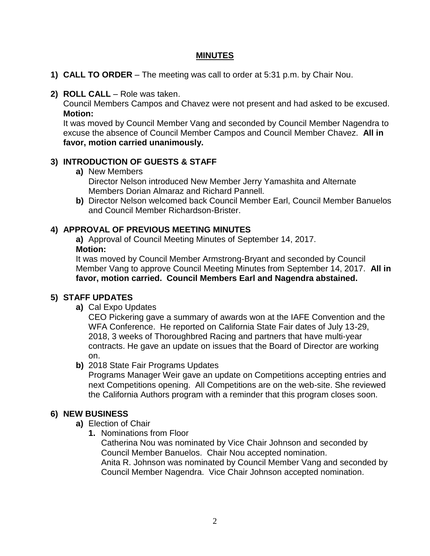#### **MINUTES**

- **1) CALL TO ORDER** The meeting was call to order at 5:31 p.m. by Chair Nou.
- **2) ROLL CALL**  Role was taken.

Council Members Campos and Chavez were not present and had asked to be excused. **Motion:**

It was moved by Council Member Vang and seconded by Council Member Nagendra to excuse the absence of Council Member Campos and Council Member Chavez. **All in favor, motion carried unanimously.**

### **3) INTRODUCTION OF GUESTS & STAFF**

- **a)** New Members Director Nelson introduced New Member Jerry Yamashita and Alternate Members Dorian Almaraz and Richard Pannell.
- **b)** Director Nelson welcomed back Council Member Earl, Council Member Banuelos and Council Member Richardson-Brister.

### **4) APPROVAL OF PREVIOUS MEETING MINUTES**

**a)** Approval of Council Meeting Minutes of September 14, 2017. **Motion:**

It was moved by Council Member Armstrong-Bryant and seconded by Council Member Vang to approve Council Meeting Minutes from September 14, 2017. **All in favor, motion carried. Council Members Earl and Nagendra abstained.** 

### **5) STAFF UPDATES**

**a)** Cal Expo Updates

CEO Pickering gave a summary of awards won at the IAFE Convention and the WFA Conference. He reported on California State Fair dates of July 13-29, 2018, 3 weeks of Thoroughbred Racing and partners that have multi-year contracts. He gave an update on issues that the Board of Director are working on.

#### **b)** 2018 State Fair Programs Updates

Programs Manager Weir gave an update on Competitions accepting entries and next Competitions opening. All Competitions are on the web-site. She reviewed the California Authors program with a reminder that this program closes soon.

### **6) NEW BUSINESS**

- **a)** Election of Chair
	- **1.** Nominations from Floor

Catherina Nou was nominated by Vice Chair Johnson and seconded by Council Member Banuelos. Chair Nou accepted nomination. Anita R. Johnson was nominated by Council Member Vang and seconded by Council Member Nagendra. Vice Chair Johnson accepted nomination.